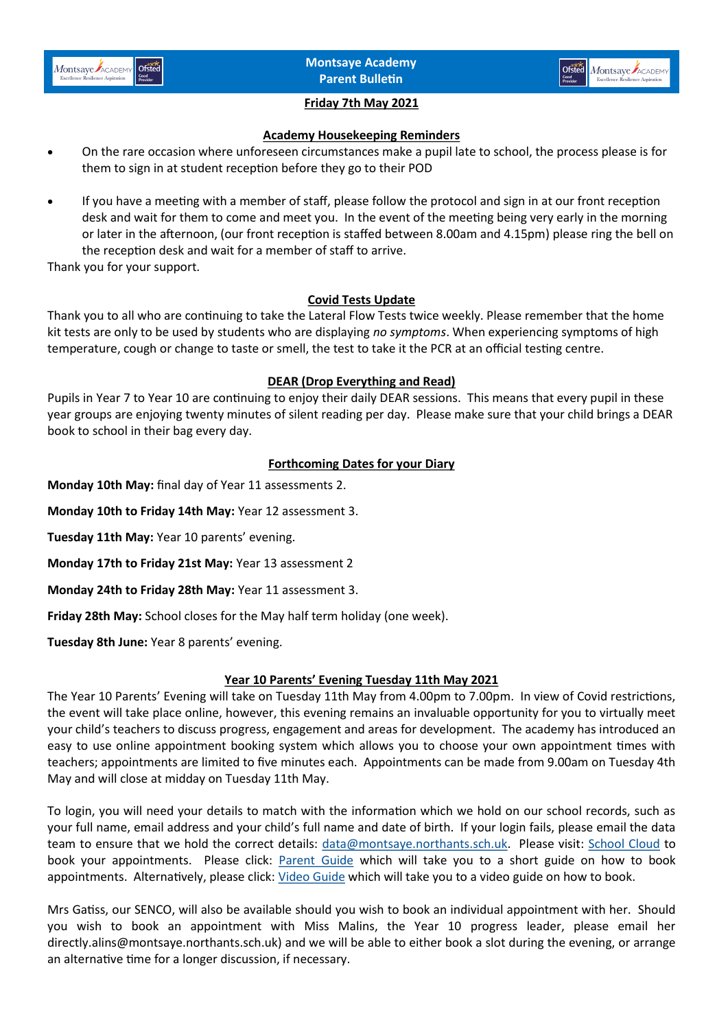



## **Friday 7th May 2021**

#### **Academy Housekeeping Reminders**

- On the rare occasion where unforeseen circumstances make a pupil late to school, the process please is for them to sign in at student reception before they go to their POD
- If you have a meeting with a member of staff, please follow the protocol and sign in at our front reception desk and wait for them to come and meet you. In the event of the meeting being very early in the morning or later in the afternoon, (our front reception is staffed between 8.00am and 4.15pm) please ring the bell on the reception desk and wait for a member of staff to arrive.

Thank you for your support.

## **Covid Tests Update**

Thank you to all who are continuing to take the Lateral Flow Tests twice weekly. Please remember that the home kit tests are only to be used by students who are displaying *no symptoms*. When experiencing symptoms of high temperature, cough or change to taste or smell, the test to take it the PCR at an official testing centre.

#### **DEAR (Drop Everything and Read)**

Pupils in Year 7 to Year 10 are continuing to enjoy their daily DEAR sessions. This means that every pupil in these year groups are enjoying twenty minutes of silent reading per day. Please make sure that your child brings a DEAR book to school in their bag every day.

## **Forthcoming Dates for your Diary**

**Monday 10th May:** final day of Year 11 assessments 2.

**Monday 10th to Friday 14th May:** Year 12 assessment 3.

**Tuesday 11th May:** Year 10 parents' evening.

**Monday 17th to Friday 21st May:** Year 13 assessment 2

**Monday 24th to Friday 28th May:** Year 11 assessment 3.

**Friday 28th May:** School closes for the May half term holiday (one week).

**Tuesday 8th June:** Year 8 parents' evening.

## **Year 10 Parents' Evening Tuesday 11th May 2021**

The Year 10 Parents' Evening will take on Tuesday 11th May from 4.00pm to 7.00pm. In view of Covid restrictions, the event will take place online, however, this evening remains an invaluable opportunity for you to virtually meet your child's teachers to discuss progress, engagement and areas for development. The academy has introduced an easy to use online appointment booking system which allows you to choose your own appointment times with teachers; appointments are limited to five minutes each. Appointments can be made from 9.00am on Tuesday 4th May and will close at midday on Tuesday 11th May.

To login, you will need your details to match with the information which we hold on our school records, such as your full name, email address and your child's full name and date of birth. If your login fails, please email the data team to ensure that we hold the correct details: [data@montsaye.northants.sch.uk.](mailto:data@montsaye.northants.sch.uk) Please visit: [School Cloud](https://montsaye.schoolcloud.co.uk/) to book your appointments. Please click: [Parent Guide](https://www.montsaye.northants.sch.uk/assets/Documents/Newsletters/Parent-Guide-Booking-School-Cloud-Appointments.pdf) which will take you to a short guide on how to book appointments. Alternatively, please click: [Video Guide](https://support.parentseveningsystem.co.uk/article/801-video-parents-how-to-attend-appointments-over-video-call) which will take you to a video guide on how to book.

Mrs Gatiss, our SENCO, will also be available should you wish to book an individual appointment with her. Should you wish to book an appointment with Miss Malins, the Year 10 progress leader, please email her directly.alins@montsaye.northants.sch.uk) and we will be able to either book a slot during the evening, or arrange an alternative time for a longer discussion, if necessary.